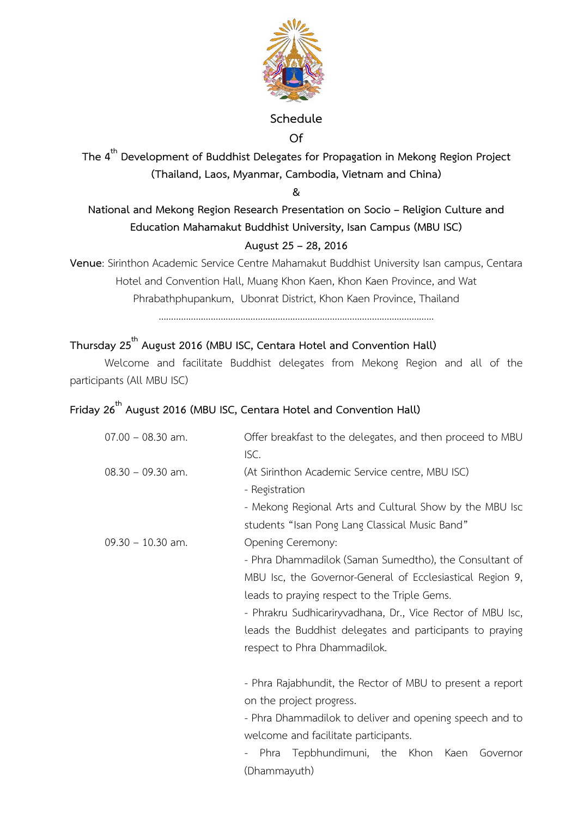

# **Schedule**

**Of** 

**The 4th Development of Buddhist Delegates for Propagation in Mekong Region Project (Thailand, Laos, Myanmar, Cambodia, Vietnam and China)** 

**&** 

**National and Mekong Region Research Presentation on Socio – Religion Culture and Education Mahamakut Buddhist University, Isan Campus (MBU ISC) August 25 – 28, 2016** 

**Venue**: Sirinthon Academic Service Centre Mahamakut Buddhist University Isan campus, Centara Hotel and Convention Hall, Muang Khon Kaen, Khon Kaen Province, and Wat Phrabathphupankum, Ubonrat District, Khon Kaen Province, Thailand …………………………………………………………………………………………………

### **Thursday 25th August 2016 (MBU ISC, Centara Hotel and Convention Hall)**

 Welcome and facilitate Buddhist delegates from Mekong Region and all of the participants (All MBU ISC)

#### **Friday 26th August 2016 (MBU ISC, Centara Hotel and Convention Hall)**

| $07.00 - 08.30$ am. | Offer breakfast to the delegates, and then proceed to MBU<br>ISC. |
|---------------------|-------------------------------------------------------------------|
| $08.30 - 09.30$ am. | (At Sirinthon Academic Service centre, MBU ISC)                   |
|                     | - Registration                                                    |
|                     | - Mekong Regional Arts and Cultural Show by the MBU Isc           |
|                     | students "Isan Pong Lang Classical Music Band"                    |
| $09.30 - 10.30$ am. | Opening Ceremony:                                                 |
|                     | - Phra Dhammadilok (Saman Sumedtho), the Consultant of            |
|                     | MBU Isc, the Governor-General of Ecclesiastical Region 9,         |
|                     | leads to praying respect to the Triple Gems.                      |
|                     | - Phrakru Sudhicariryvadhana, Dr., Vice Rector of MBU Isc,        |
|                     | leads the Buddhist delegates and participants to praying          |
|                     | respect to Phra Dhammadilok.                                      |
|                     | - Phra Rajabhundit, the Rector of MBU to present a report         |
|                     | on the project progress.                                          |
|                     | - Phra Dhammadilok to deliver and opening speech and to           |
|                     | welcome and facilitate participants.                              |
|                     | - Phra Tenhhundimuni the Khon Kaen Governor                       |

undimuni, the Khon Kaen (Dhammayuth)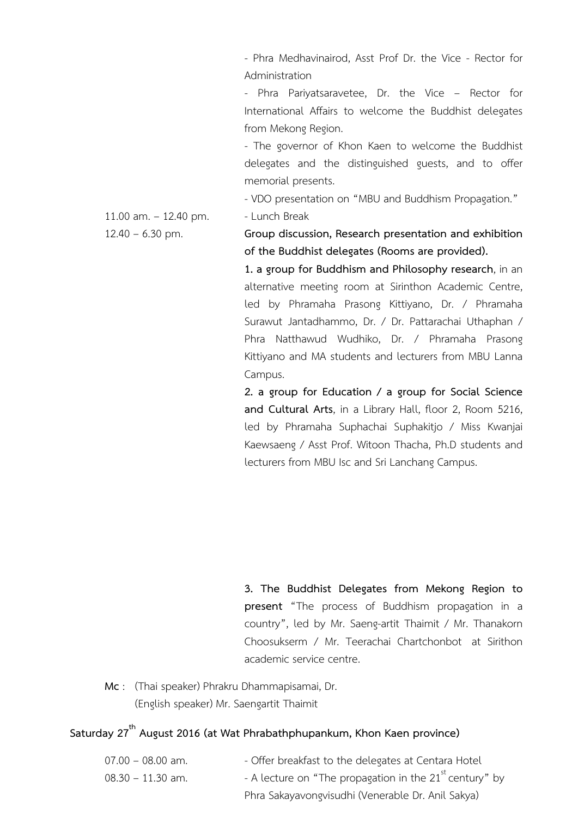- Phra Medhavinairod, Asst Prof Dr. the Vice - Rector for Administration

 - Phra Pariyatsaravetee, Dr. the Vice – Rector for International Affairs to welcome the Buddhist delegates from Mekong Region.

 - The governor of Khon Kaen to welcome the Buddhist delegates and the distinguished guests, and to offer memorial presents.

- VDO presentation on "MBU and Buddhism Propagation."

11.00 am.  $-$  12.40 pm. - Lunch Break

12.40 – 6.30 pm. **Group discussion, Research presentation and exhibition of the Buddhist delegates (Rooms are provided).** 

> **1. a group for Buddhism and Philosophy research**, in an alternative meeting room at Sirinthon Academic Centre, led by Phramaha Prasong Kittiyano, Dr. / Phramaha Surawut Jantadhammo, Dr. / Dr. Pattarachai Uthaphan / Phra Natthawud Wudhiko, Dr. / Phramaha Prasong Kittiyano and MA students and lecturers from MBU Lanna Campus.

> **2. a group for Education / a group for Social Science and Cultural Arts**, in a Library Hall, floor 2, Room 5216, led by Phramaha Suphachai Suphakitjo / Miss Kwanjai Kaewsaeng / Asst Prof. Witoon Thacha, Ph.D students and lecturers from MBU Isc and Sri Lanchang Campus.

> **3. The Buddhist Delegates from Mekong Region to present** "The process of Buddhism propagation in a country", led by Mr. Saeng-artit Thaimit / Mr. Thanakorn Choosukserm / Mr. Teerachai Chartchonbot at Sirithon academic service centre.

**Mc** : (Thai speaker) Phrakru Dhammapisamai, Dr. (English speaker) Mr. Saengartit Thaimit

## **Saturday 27th August 2016 (at Wat Phrabathphupankum, Khon Kaen province)**

| $07.00 - 08.00$ am. | - Offer breakfast to the delegates at Centara Hotel       |
|---------------------|-----------------------------------------------------------|
| $08.30 - 11.30$ am. | - A lecture on "The propagation in the $21st$ century" by |
|                     | Phra Sakayavongvisudhi (Venerable Dr. Anil Sakya)         |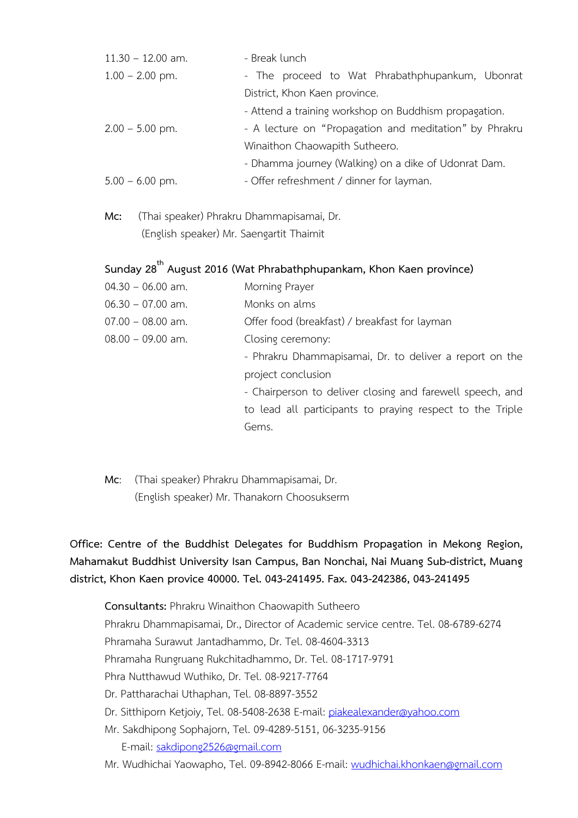| $11.30 - 12.00$ am. | - Break lunch                                          |
|---------------------|--------------------------------------------------------|
| $1.00 - 2.00$ pm.   | - The proceed to Wat Phrabathphupankum, Ubonrat        |
|                     | District, Khon Kaen province.                          |
|                     | - Attend a training workshop on Buddhism propagation.  |
| $2.00 - 5.00$ pm.   | - A lecture on "Propagation and meditation" by Phrakru |
|                     | Winaithon Chaowapith Sutheero.                         |
|                     | - Dhamma journey (Walking) on a dike of Udonrat Dam.   |
| $5.00 - 6.00$ pm.   | - Offer refreshment / dinner for layman.               |

**Mc:** (Thai speaker) Phrakru Dhammapisamai, Dr. (English speaker) Mr. Saengartit Thaimit

## **Sunday 28th August 2016 (Wat Phrabathphupankam, Khon Kaen province)**

- 04.30 06.00 am. Morning Prayer
- 06.30 07.00 am. Monks on alms
- 07.00 08.00 am. Offer food (breakfast) / breakfast for layman
- 08.00 09.00 am. Closing ceremony:
	- Phrakru Dhammapisamai, Dr. to deliver a report on the project conclusion

 - Chairperson to deliver closing and farewell speech, and to lead all participants to praying respect to the Triple Gems.

**Mc**: (Thai speaker) Phrakru Dhammapisamai, Dr. (English speaker) Mr. Thanakorn Choosukserm

**Office: Centre of the Buddhist Delegates for Buddhism Propagation in Mekong Region, Mahamakut Buddhist University Isan Campus, Ban Nonchai, Nai Muang Sub-district, Muang district, Khon Kaen provice 40000. Tel. 043-241495. Fax. 043-242386, 043-241495** 

**Consultants:** Phrakru Winaithon Chaowapith Sutheero Phrakru Dhammapisamai, Dr., Director of Academic service centre. Tel. 08-6789-6274 Phramaha Surawut Jantadhammo, Dr. Tel. 08-4604-3313 Phramaha Rungruang Rukchitadhammo, Dr. Tel. 08-1717-9791 Phra Nutthawud Wuthiko, Dr. Tel. 08-9217-7764 Dr. Pattharachai Uthaphan, Tel. 08-8897-3552 Dr. Sitthiporn Ketjoiy, Tel. 08-5408-2638 E-mail: piakealexander@yahoo.com Mr. Sakdhipong Sophajorn, Tel. 09-4289-5151, 06-3235-9156 E-mail: sakdipong2526@gmail.com

Mr. Wudhichai Yaowapho, Tel. 09-8942-8066 E-mail: wudhichai.khonkaen@gmail.com